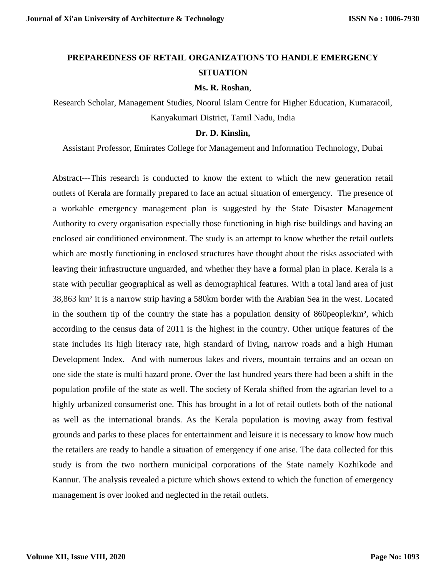# **PREPAREDNESS OF RETAIL ORGANIZATIONS TO HANDLE EMERGENCY SITUATION**

#### **Ms. R. Roshan**,

Research Scholar, Management Studies, Noorul Islam Centre for Higher Education, Kumaracoil, Kanyakumari District, Tamil Nadu, India

#### **Dr. D. Kinslin,**

Assistant Professor, Emirates College for Management and Information Technology, Dubai

Abstract---This research is conducted to know the extent to which the new generation retail outlets of Kerala are formally prepared to face an actual situation of emergency. The presence of a workable emergency management plan is suggested by the State Disaster Management Authority to every organisation especially those functioning in high rise buildings and having an enclosed air conditioned environment. The study is an attempt to know whether the retail outlets which are mostly functioning in enclosed structures have thought about the risks associated with leaving their infrastructure unguarded, and whether they have a formal plan in place. Kerala is a state with peculiar geographical as well as demographical features. With a total land area of just 38,863 km² it is a narrow strip having a 580km border with the Arabian Sea in the west. Located in the southern tip of the country the state has a population density of 860people/km², which according to the census data of 2011 is the highest in the country. Other unique features of the state includes its high literacy rate, high standard of living, narrow roads and a high Human Development Index. And with numerous lakes and rivers, mountain terrains and an ocean on one side the state is multi hazard prone. Over the last hundred years there had been a shift in the population profile of the state as well. The society of Kerala shifted from the agrarian level to a highly urbanized consumerist one. This has brought in a lot of retail outlets both of the national as well as the international brands. As the Kerala population is moving away from festival grounds and parks to these places for entertainment and leisure it is necessary to know how much the retailers are ready to handle a situation of emergency if one arise. The data collected for this study is from the two northern municipal corporations of the State namely Kozhikode and Kannur. The analysis revealed a picture which shows extend to which the function of emergency management is over looked and neglected in the retail outlets.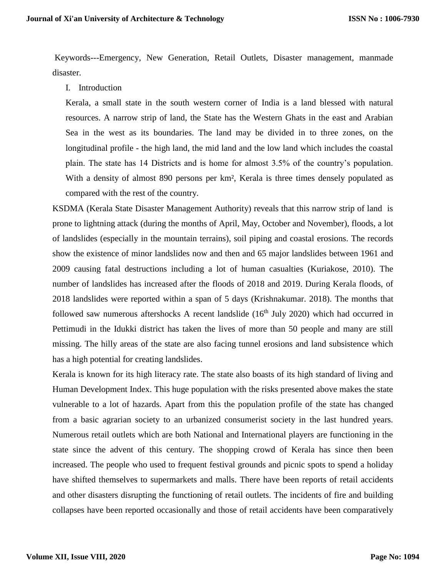Keywords---Emergency, New Generation, Retail Outlets, Disaster management, manmade disaster.

I. Introduction

Kerala, a small state in the south western corner of India is a land blessed with natural resources. A narrow strip of land, the State has the Western Ghats in the east and Arabian Sea in the west as its boundaries. The land may be divided in to three zones, on the longitudinal profile - the high land, the mid land and the low land which includes the coastal plain. The state has 14 Districts and is home for almost 3.5% of the country's population. With a density of almost 890 persons per km², Kerala is three times densely populated as compared with the rest of the country.

KSDMA (Kerala State Disaster Management Authority) reveals that this narrow strip of land is prone to lightning attack (during the months of April, May, October and November), floods, a lot of landslides (especially in the mountain terrains), soil piping and coastal erosions. The records show the existence of minor landslides now and then and 65 major landslides between 1961 and 2009 causing fatal destructions including a lot of human casualties (Kuriakose, 2010). The number of landslides has increased after the floods of 2018 and 2019. During Kerala floods, of 2018 landslides were reported within a span of 5 days (Krishnakumar. 2018). The months that followed saw numerous aftershocks A recent landslide  $(16<sup>th</sup>$  July 2020) which had occurred in Pettimudi in the Idukki district has taken the lives of more than 50 people and many are still missing. The hilly areas of the state are also facing tunnel erosions and land subsistence which has a high potential for creating landslides.

Kerala is known for its high literacy rate. The state also boasts of its high standard of living and Human Development Index. This huge population with the risks presented above makes the state vulnerable to a lot of hazards. Apart from this the population profile of the state has changed from a basic agrarian society to an urbanized consumerist society in the last hundred years. Numerous retail outlets which are both National and International players are functioning in the state since the advent of this century. The shopping crowd of Kerala has since then been increased. The people who used to frequent festival grounds and picnic spots to spend a holiday have shifted themselves to supermarkets and malls. There have been reports of retail accidents and other disasters disrupting the functioning of retail outlets. The incidents of fire and building collapses have been reported occasionally and those of retail accidents have been comparatively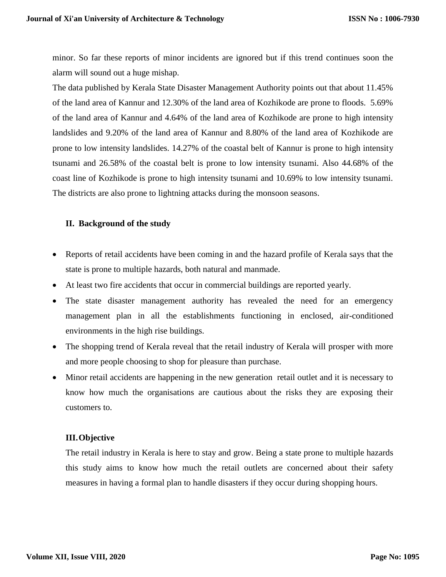minor. So far these reports of minor incidents are ignored but if this trend continues soon the alarm will sound out a huge mishap.

The data published by Kerala State Disaster Management Authority points out that about 11.45% of the land area of Kannur and 12.30% of the land area of Kozhikode are prone to floods. 5.69% of the land area of Kannur and 4.64% of the land area of Kozhikode are prone to high intensity landslides and 9.20% of the land area of Kannur and 8.80% of the land area of Kozhikode are prone to low intensity landslides. 14.27% of the coastal belt of Kannur is prone to high intensity tsunami and 26.58% of the coastal belt is prone to low intensity tsunami. Also 44.68% of the coast line of Kozhikode is prone to high intensity tsunami and 10.69% to low intensity tsunami. The districts are also prone to lightning attacks during the monsoon seasons.

### **II. Background of the study**

- Reports of retail accidents have been coming in and the hazard profile of Kerala says that the state is prone to multiple hazards, both natural and manmade.
- At least two fire accidents that occur in commercial buildings are reported yearly.
- The state disaster management authority has revealed the need for an emergency management plan in all the establishments functioning in enclosed, air-conditioned environments in the high rise buildings.
- The shopping trend of Kerala reveal that the retail industry of Kerala will prosper with more and more people choosing to shop for pleasure than purchase.
- Minor retail accidents are happening in the new generation retail outlet and it is necessary to know how much the organisations are cautious about the risks they are exposing their customers to.

### **III.Objective**

The retail industry in Kerala is here to stay and grow. Being a state prone to multiple hazards this study aims to know how much the retail outlets are concerned about their safety measures in having a formal plan to handle disasters if they occur during shopping hours.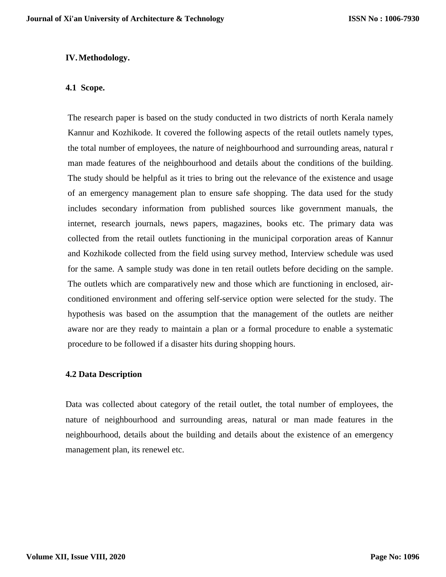### **IV.Methodology.**

### **4.1 Scope.**

The research paper is based on the study conducted in two districts of north Kerala namely Kannur and Kozhikode. It covered the following aspects of the retail outlets namely types, the total number of employees, the nature of neighbourhood and surrounding areas, natural r man made features of the neighbourhood and details about the conditions of the building. The study should be helpful as it tries to bring out the relevance of the existence and usage of an emergency management plan to ensure safe shopping. The data used for the study includes secondary information from published sources like government manuals, the internet, research journals, news papers, magazines, books etc. The primary data was collected from the retail outlets functioning in the municipal corporation areas of Kannur and Kozhikode collected from the field using survey method, Interview schedule was used for the same. A sample study was done in ten retail outlets before deciding on the sample. The outlets which are comparatively new and those which are functioning in enclosed, airconditioned environment and offering self-service option were selected for the study. The hypothesis was based on the assumption that the management of the outlets are neither aware nor are they ready to maintain a plan or a formal procedure to enable a systematic procedure to be followed if a disaster hits during shopping hours.

### **4.2 Data Description**

Data was collected about category of the retail outlet, the total number of employees, the nature of neighbourhood and surrounding areas, natural or man made features in the neighbourhood, details about the building and details about the existence of an emergency management plan, its renewel etc.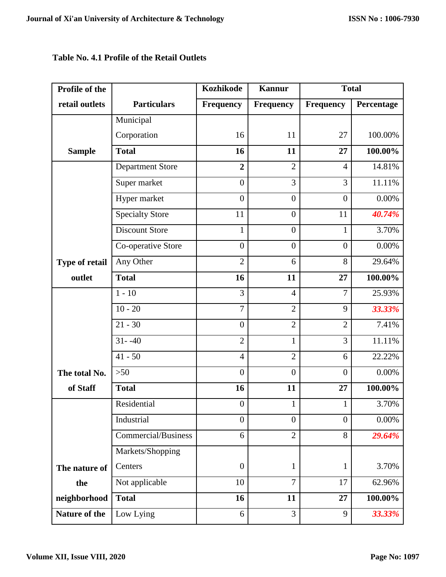## **Table No. 4.1 Profile of the Retail Outlets**

| Profile of the |                            | <b>Kozhikode</b> | <b>Kannur</b>    | <b>Total</b>   |            |
|----------------|----------------------------|------------------|------------------|----------------|------------|
| retail outlets | <b>Particulars</b>         | <b>Frequency</b> | <b>Frequency</b> | Frequency      | Percentage |
|                | Municipal                  |                  |                  |                |            |
|                | Corporation                | 16               | 11               | 27             | 100.00%    |
| <b>Sample</b>  | <b>Total</b>               | 16               | 11               | 27             | 100.00%    |
|                | <b>Department Store</b>    | $\overline{2}$   | $\overline{2}$   | $\overline{4}$ | 14.81%     |
|                | Super market               | $\overline{0}$   | 3                | 3              | 11.11%     |
|                | Hyper market               | $\overline{0}$   | $\overline{0}$   | $\overline{0}$ | 0.00%      |
|                | <b>Specialty Store</b>     | 11               | $\overline{0}$   | 11             | 40.74%     |
|                | <b>Discount Store</b>      | $\mathbf{1}$     | $\boldsymbol{0}$ | $\mathbf{1}$   | 3.70%      |
|                | Co-operative Store         | $\overline{0}$   | $\overline{0}$   | $\overline{0}$ | 0.00%      |
| Type of retail | Any Other                  | $\overline{2}$   | 6                | 8              | 29.64%     |
| outlet         | <b>Total</b>               | 16               | 11               | 27             | 100.00%    |
|                | $1 - 10$                   | 3                | $\overline{4}$   | $\overline{7}$ | 25.93%     |
|                | $\overline{10} - 20$       | $\overline{7}$   | $\overline{2}$   | 9              | 33.33%     |
|                | $21 - 30$                  | $\overline{0}$   | $\overline{2}$   | $\overline{2}$ | 7.41%      |
|                | $31 - -40$                 | $\overline{2}$   | $\mathbf{1}$     | $\overline{3}$ | 11.11%     |
|                | $41 - 50$                  | $\overline{4}$   | $\overline{2}$   | 6              | 22.22%     |
| The total No.  | $>50$                      | $\overline{0}$   | $\overline{0}$   | $\overline{0}$ | 0.00%      |
| of Staff       | <b>Total</b>               | 16               | 11               | 27             | 100.00%    |
|                | Residential                | $\boldsymbol{0}$ | $\mathbf{1}$     | $\mathbf{1}$   | 3.70%      |
|                | Industrial                 | $\overline{0}$   | $\overline{0}$   | $\overline{0}$ | 0.00%      |
|                | <b>Commercial/Business</b> | 6                | $\overline{2}$   | 8              | 29.64%     |
|                | Markets/Shopping           |                  |                  |                |            |
| The nature of  | Centers                    | $\boldsymbol{0}$ | $\mathbf{1}$     | $\mathbf{1}$   | 3.70%      |
| the            | Not applicable             | 10               | $\overline{7}$   | 17             | 62.96%     |
| neighborhood   | <b>Total</b>               | 16               | 11               | 27             | 100.00%    |
| Nature of the  | Low Lying                  | 6                | 3                | 9              | 33.33%     |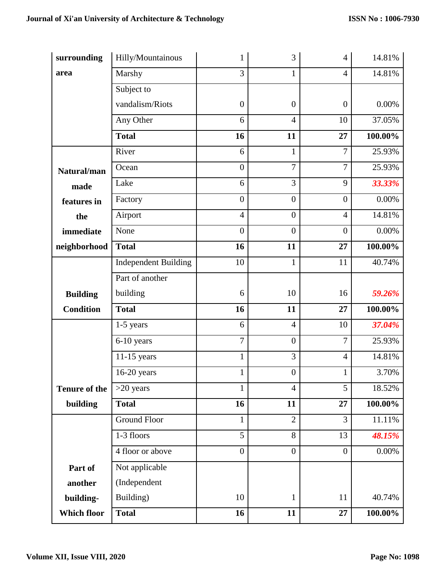| surrounding          | Hilly/Mountainous           | 1                | 3                | $\overline{4}$   | 14.81%     |
|----------------------|-----------------------------|------------------|------------------|------------------|------------|
| area                 | Marshy                      | 3                | 1                | $\overline{4}$   | 14.81%     |
|                      | Subject to                  |                  |                  |                  |            |
|                      | vandalism/Riots             | $\boldsymbol{0}$ | $\boldsymbol{0}$ | $\boldsymbol{0}$ | 0.00%      |
|                      | Any Other                   | 6                | $\overline{4}$   | 10               | 37.05%     |
|                      | <b>Total</b>                | 16               | 11               | 27               | 100.00%    |
|                      | River                       | 6                | $\mathbf{1}$     | 7                | 25.93%     |
| Natural/man          | Ocean                       | $\overline{0}$   | 7                | $\overline{7}$   | 25.93%     |
| made                 | Lake                        | 6                | 3                | 9                | 33.33%     |
| features in          | Factory                     | $\overline{0}$   | $\overline{0}$   | $\boldsymbol{0}$ | 0.00%      |
| the                  | Airport                     | $\overline{4}$   | $\overline{0}$   | $\overline{4}$   | 14.81%     |
| immediate            | None                        | $\overline{0}$   | $\overline{0}$   | $\boldsymbol{0}$ | 0.00%      |
| neighborhood         | <b>Total</b>                | 16               | 11               | 27               | 100.00%    |
|                      | <b>Independent Building</b> | 10               | $\mathbf{1}$     | 11               | 40.74%     |
|                      | Part of another             |                  |                  |                  |            |
| <b>Building</b>      | building                    | 6                | 10               | 16               | 59.26%     |
| <b>Condition</b>     | <b>Total</b>                | 16               | 11               | 27               | $100.00\%$ |
|                      | $1-5$ years                 | 6                | $\overline{4}$   | 10               | 37.04%     |
|                      | 6-10 years                  | $\overline{7}$   | $\boldsymbol{0}$ | $\overline{7}$   | 25.93%     |
|                      | $11-15$ years               | $\mathbf{1}$     | 3                | $\overline{4}$   | 14.81%     |
|                      | $16-20$ years               | $\mathbf{1}$     | $\boldsymbol{0}$ | $\mathbf{1}$     | 3.70%      |
| <b>Tenure of the</b> | $>20$ years                 | $\mathbf 1$      | $\overline{4}$   | 5                | 18.52%     |
| building             | <b>Total</b>                | 16               | 11               | 27               | 100.00%    |
|                      | <b>Ground Floor</b>         | $\mathbf{1}$     | $\overline{2}$   | 3                | 11.11%     |
|                      | 1-3 floors                  | $\overline{5}$   | 8                | 13               | 48.15%     |
|                      | 4 floor or above            | $\overline{0}$   | $\overline{0}$   | $\boldsymbol{0}$ | 0.00%      |
| Part of              | Not applicable              |                  |                  |                  |            |
| another              | (Independent                |                  |                  |                  |            |
| building-            | Building)                   | 10               | $\mathbf{1}$     | 11               | 40.74%     |
| Which floor          | <b>Total</b>                | 16               | 11               | 27               | 100.00%    |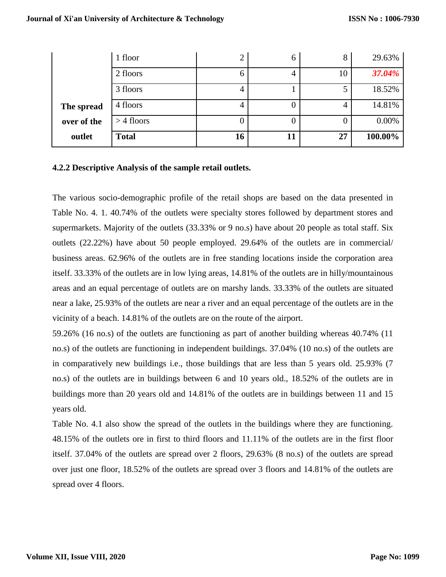|             | 1 floor      | $\overline{2}$ | h  | 8  | 29.63%  |
|-------------|--------------|----------------|----|----|---------|
|             | 2 floors     | 6              |    | 10 | 37.04%  |
|             | 3 floors     | 4              |    | 5  | 18.52%  |
| The spread  | 4 floors     | 4              |    | 4  | 14.81%  |
| over of the | $>$ 4 floors |                |    | O  | 0.00%   |
| outlet      | <b>Total</b> | 16             | 11 | 27 | 100.00% |

### **4.2.2 Descriptive Analysis of the sample retail outlets.**

The various socio-demographic profile of the retail shops are based on the data presented in Table No. 4. 1. 40.74% of the outlets were specialty stores followed by department stores and supermarkets. Majority of the outlets (33.33% or 9 no.s) have about 20 people as total staff. Six outlets (22.22%) have about 50 people employed. 29.64% of the outlets are in commercial/ business areas. 62.96% of the outlets are in free standing locations inside the corporation area itself. 33.33% of the outlets are in low lying areas, 14.81% of the outlets are in hilly/mountainous areas and an equal percentage of outlets are on marshy lands. 33.33% of the outlets are situated near a lake, 25.93% of the outlets are near a river and an equal percentage of the outlets are in the vicinity of a beach. 14.81% of the outlets are on the route of the airport.

59.26% (16 no.s) of the outlets are functioning as part of another building whereas 40.74% (11 no.s) of the outlets are functioning in independent buildings. 37.04% (10 no.s) of the outlets are in comparatively new buildings i.e., those buildings that are less than 5 years old. 25.93% (7 no.s) of the outlets are in buildings between 6 and 10 years old., 18.52% of the outlets are in buildings more than 20 years old and 14.81% of the outlets are in buildings between 11 and 15 years old.

Table No. 4.1 also show the spread of the outlets in the buildings where they are functioning. 48.15% of the outlets ore in first to third floors and 11.11% of the outlets are in the first floor itself. 37.04% of the outlets are spread over 2 floors, 29.63% (8 no.s) of the outlets are spread over just one floor, 18.52% of the outlets are spread over 3 floors and 14.81% of the outlets are spread over 4 floors.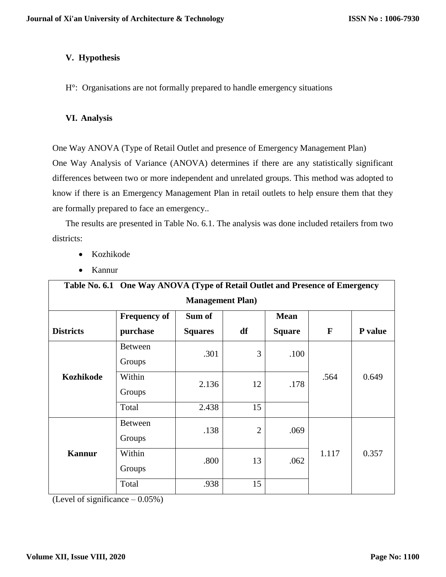## **V. Hypothesis**

H°: Organisations are not formally prepared to handle emergency situations

### **VI. Analysis**

One Way ANOVA (Type of Retail Outlet and presence of Emergency Management Plan)

One Way Analysis of Variance (ANOVA) determines if there are any statistically significant differences between two or more independent and unrelated groups. This method was adopted to know if there is an Emergency Management Plan in retail outlets to help ensure them that they are formally prepared to face an emergency..

The results are presented in Table No. 6.1. The analysis was done included retailers from two districts:

- Kozhikode
- Kannur

| Table No. 6.1 One Way ANOVA (Type of Retail Outlet and Presence of Emergency |                     |                |                |               |       |         |  |
|------------------------------------------------------------------------------|---------------------|----------------|----------------|---------------|-------|---------|--|
| <b>Management Plan)</b>                                                      |                     |                |                |               |       |         |  |
|                                                                              | <b>Frequency of</b> | Sum of         |                | <b>Mean</b>   |       |         |  |
| <b>Districts</b>                                                             | purchase            | <b>Squares</b> | df             | <b>Square</b> | F     | P value |  |
|                                                                              | <b>Between</b>      | .301           | 3              | .100          | .564  | 0.649   |  |
|                                                                              | Groups              |                |                |               |       |         |  |
| <b>Kozhikode</b>                                                             | Within              | 2.136          | 12             | .178          |       |         |  |
|                                                                              | Groups              |                |                |               |       |         |  |
|                                                                              | Total               | 2.438          | 15             |               |       |         |  |
| <b>Kannur</b>                                                                | <b>Between</b>      | .138           | $\overline{2}$ | .069          | 1.117 | 0.357   |  |
|                                                                              | Groups              |                |                |               |       |         |  |
|                                                                              | Within              | .800           | 13             | .062          |       |         |  |
|                                                                              | Groups              |                |                |               |       |         |  |
|                                                                              | Total               | .938           | 15             |               |       |         |  |

(Level of significance – 0.05%)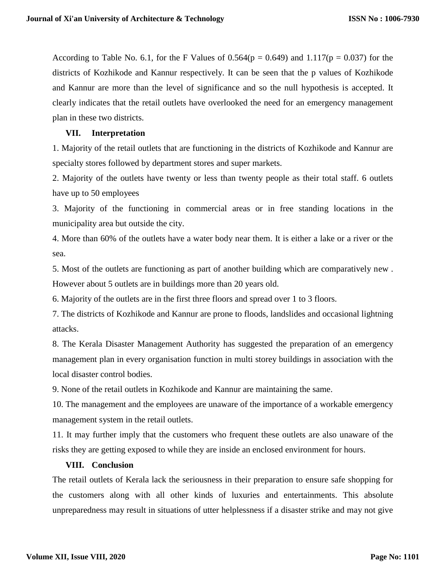According to Table No. 6.1, for the F Values of  $0.564(p = 0.649)$  and  $1.117(p = 0.037)$  for the districts of Kozhikode and Kannur respectively. It can be seen that the p values of Kozhikode and Kannur are more than the level of significance and so the null hypothesis is accepted. It clearly indicates that the retail outlets have overlooked the need for an emergency management plan in these two districts.

### **VII. Interpretation**

1. Majority of the retail outlets that are functioning in the districts of Kozhikode and Kannur are specialty stores followed by department stores and super markets.

2. Majority of the outlets have twenty or less than twenty people as their total staff. 6 outlets have up to 50 employees

3. Majority of the functioning in commercial areas or in free standing locations in the municipality area but outside the city.

4. More than 60% of the outlets have a water body near them. It is either a lake or a river or the sea.

5. Most of the outlets are functioning as part of another building which are comparatively new . However about 5 outlets are in buildings more than 20 years old.

6. Majority of the outlets are in the first three floors and spread over 1 to 3 floors.

7. The districts of Kozhikode and Kannur are prone to floods, landslides and occasional lightning attacks.

8. The Kerala Disaster Management Authority has suggested the preparation of an emergency management plan in every organisation function in multi storey buildings in association with the local disaster control bodies.

9. None of the retail outlets in Kozhikode and Kannur are maintaining the same.

10. The management and the employees are unaware of the importance of a workable emergency management system in the retail outlets.

11. It may further imply that the customers who frequent these outlets are also unaware of the risks they are getting exposed to while they are inside an enclosed environment for hours.

### **VIII. Conclusion**

The retail outlets of Kerala lack the seriousness in their preparation to ensure safe shopping for the customers along with all other kinds of luxuries and entertainments. This absolute unpreparedness may result in situations of utter helplessness if a disaster strike and may not give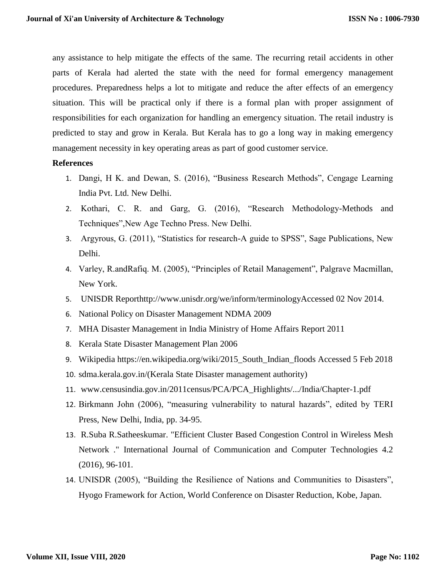any assistance to help mitigate the effects of the same. The recurring retail accidents in other parts of Kerala had alerted the state with the need for formal emergency management procedures. Preparedness helps a lot to mitigate and reduce the after effects of an emergency situation. This will be practical only if there is a formal plan with proper assignment of responsibilities for each organization for handling an emergency situation. The retail industry is predicted to stay and grow in Kerala. But Kerala has to go a long way in making emergency management necessity in key operating areas as part of good customer service.

### **References**

- 1. Dangi, H K. and Dewan, S. (2016), "Business Research Methods", Cengage Learning India Pvt. Ltd. New Delhi.
- 2. Kothari, C. R. and Garg, G. (2016), "Research Methodology-Methods and Techniques",New Age Techno Press. New Delhi.
- 3. Argyrous, G. (2011), "Statistics for research-A guide to SPSS", Sage Publications, New Delhi.
- 4. Varley, R.andRafiq. M. (2005), "Principles of Retail Management", Palgrave Macmillan, New York.
- 5. UNISDR Reporthttp://www.unisdr.org/we/inform/terminologyAccessed 02 Nov 2014.
- 6. National Policy on Disaster Management NDMA 2009
- 7. MHA Disaster Management in India Ministry of Home Affairs Report 2011
- 8. Kerala State Disaster Management Plan 2006
- 9. Wikipedia https://en.wikipedia.org/wiki/2015\_South\_Indian\_floods Accessed 5 Feb 2018
- 10. sdma.kerala.gov.in/(Kerala State Disaster management authority)
- 11. www.censusindia.gov.in/2011census/PCA/PCA\_Highlights/.../India/Chapter-1.pdf
- 12. Birkmann John (2006), "measuring vulnerability to natural hazards", edited by TERI Press, New Delhi, India, pp. 34-95.
- 13. R.Suba R.Satheeskumar. "Efficient Cluster Based Congestion Control in Wireless Mesh Network ." International Journal of Communication and Computer Technologies 4.2 (2016), 96-101.
- 14. UNISDR (2005), "Building the Resilience of Nations and Communities to Disasters", Hyogo Framework for Action, World Conference on Disaster Reduction, Kobe, Japan.